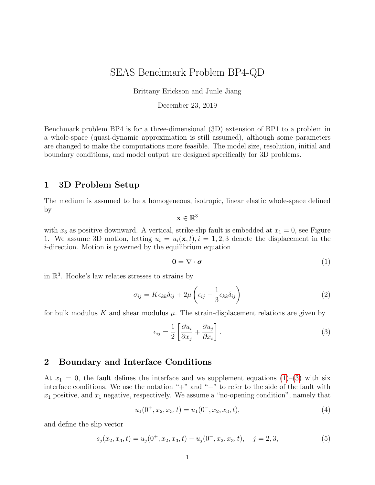# SEAS Benchmark Problem BP4-QD

Brittany Erickson and Junle Jiang

December 23, 2019

Benchmark problem BP4 is for a three-dimensional (3D) extension of BP1 to a problem in a whole-space (quasi-dynamic approximation is still assumed), although some parameters are changed to make the computations more feasible. The model size, resolution, initial and boundary conditions, and model output are designed specifically for 3D problems.

#### 1 3D Problem Setup

The medium is assumed to be a homogeneous, isotropic, linear elastic whole-space defined by

 $\mathbf{x} \in \mathbb{R}^3$ 

with  $x_3$  as positive downward. A vertical, strike-slip fault is embedded at  $x_1 = 0$ , see Figure 1. We assume 3D motion, letting  $u_i = u_i(\mathbf{x}, t)$ ,  $i = 1, 2, 3$  denote the displacement in the i-direction. Motion is governed by the equilibrium equation

<span id="page-0-0"></span>
$$
0 = \nabla \cdot \boldsymbol{\sigma} \tag{1}
$$

in  $\mathbb{R}^3$ . Hooke's law relates stresses to strains by

$$
\sigma_{ij} = K \epsilon_{kk} \delta_{ij} + 2\mu \left( \epsilon_{ij} - \frac{1}{3} \epsilon_{kk} \delta_{ij} \right)
$$
\n(2)

for bulk modulus K and shear modulus  $\mu$ . The strain-displacement relations are given by

<span id="page-0-1"></span>
$$
\epsilon_{ij} = \frac{1}{2} \left[ \frac{\partial u_i}{\partial x_j} + \frac{\partial u_j}{\partial x_i} \right].
$$
\n(3)

### 2 Boundary and Interface Conditions

At  $x_1 = 0$ , the fault defines the interface and we supplement equations  $(1)$ – $(3)$  with six interface conditions. We use the notation "+" and "−" to refer to the side of the fault with  $x_1$  positive, and  $x_1$  negative, respectively. We assume a "no-opening condition", namely that

<span id="page-0-2"></span>
$$
u_1(0^+, x_2, x_3, t) = u_1(0^-, x_2, x_3, t), \tag{4}
$$

and define the slip vector

$$
s_j(x_2, x_3, t) = u_j(0^+, x_2, x_3, t) - u_j(0^-, x_2, x_3, t), \quad j = 2, 3,
$$
\n<sup>(5)</sup>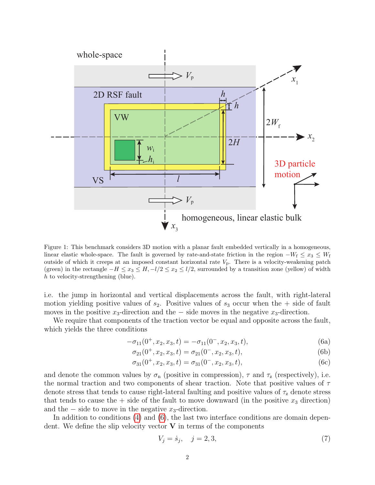

Figure 1: This benchmark considers 3D motion with a planar fault embedded vertically in a homogeneous, linear elastic whole-space. The fault is governed by rate-and-state friction in the region  $-W_f \leq x_3 \leq W_f$ outside of which it creeps at an imposed constant horizontal rate  $V_p$ . There is a velocity-weakening patch (green) in the rectangle  $-H \le x_3 \le H, -l/2 \le x_2 \le l/2$ , surrounded by a transition zone (yellow) of width h to velocity-strengthening (blue).

i.e. the jump in horizontal and vertical displacements across the fault, with right-lateral motion yielding positive values of  $s_2$ . Positive values of  $s_3$  occur when the  $+$  side of fault moves in the positive  $x_3$ -direction and the  $-$  side moves in the negative  $x_3$ -direction.

We require that components of the traction vector be equal and opposite across the fault, which yields the three conditions

<span id="page-1-0"></span>
$$
-\sigma_{11}(0^+, x_2, x_3, t) = -\sigma_{11}(0^-, x_2, x_3, t), \tag{6a}
$$

$$
\sigma_{21}(0^+, x_2, x_3, t) = \sigma_{21}(0^-, x_2, x_3, t), \tag{6b}
$$

$$
\sigma_{31}(0^+, x_2, x_3, t) = \sigma_{31}(0^-, x_2, x_3, t), \tag{6c}
$$

and denote the common values by  $\sigma_n$  (positive in compression),  $\tau$  and  $\tau_z$  (respectively), i.e. the normal traction and two components of shear traction. Note that positive values of  $\tau$ denote stress that tends to cause right-lateral faulting and positive values of  $\tau_{z}$  denote stress that tends to cause the  $+$  side of the fault to move downward (in the positive  $x_3$  direction) and the  $-$  side to move in the negative  $x_3$ -direction.

In addition to conditions [\(4\)](#page-0-2) and [\(6\)](#page-1-0), the last two interface conditions are domain dependent. We define the slip velocity vector  $V$  in terms of the components

$$
V_j = \dot{s}_j, \quad j = 2, 3,\tag{7}
$$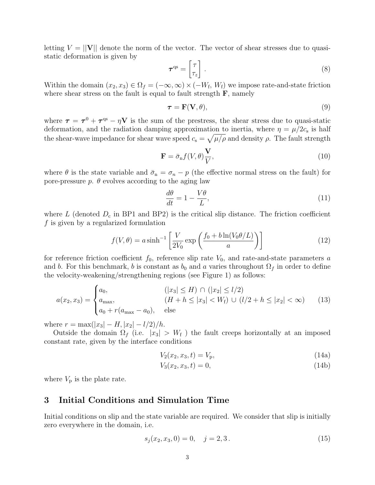letting  $V = ||V||$  denote the norm of the vector. The vector of shear stresses due to quasistatic deformation is given by

$$
\boldsymbol{\tau}^{\mathrm{qs}} = \begin{bmatrix} \tau \\ \tau_z \end{bmatrix} . \tag{8}
$$

Within the domain  $(x_2, x_3) \in \Omega_f = (-\infty, \infty) \times (-W_f, W_f)$  we impose rate-and-state friction where shear stress on the fault is equal to fault strength  $\bf{F}$ , namely

<span id="page-2-0"></span>
$$
\boldsymbol{\tau} = \mathbf{F}(\mathbf{V}, \theta),\tag{9}
$$

where  $\tau = \tau^0 + \tau^{qs} - \eta V$  is the sum of the prestress, the shear stress due to quasi-static deformation, and the radiation damping approximation to inertia, where  $\eta = \mu/2c_s$  is half the shear-wave impedance for shear wave speed  $c_s = \sqrt{\mu/\rho}$  and density  $\rho$ . The fault strength

$$
\mathbf{F} = \bar{\sigma}_{\rm n} f(V, \theta) \frac{\mathbf{V}}{V},\tag{10}
$$

where  $\theta$  is the state variable and  $\bar{\sigma}_n = \sigma_n - p$  (the effective normal stress on the fault) for pore-pressure  $p$ .  $\theta$  evolves according to the aging law

$$
\frac{d\theta}{dt} = 1 - \frac{V\theta}{L},\tag{11}
$$

where  $L$  (denoted  $D_c$  in BP1 and BP2) is the critical slip distance. The friction coefficient f is given by a regularized formulation

$$
f(V,\theta) = a \sinh^{-1} \left[ \frac{V}{2V_0} \exp\left( \frac{f_0 + b \ln(V_0 \theta/L)}{a} \right) \right]
$$
 (12)

for reference friction coefficient  $f_0$ , reference slip rate  $V_0$ , and rate-and-state parameters a and b. For this benchmark, b is constant as  $b_0$  and a varies throughout  $\Omega_f$  in order to define the velocity-weakening/strengthening regions (see Figure 1) as follows:

$$
a(x_2, x_3) = \begin{cases} a_0, & (|x_3| \le H) \cap (|x_2| \le l/2) \\ a_{\text{max}}, & (H + h \le |x_3| < W_{\text{f}}) \cup (l/2 + h \le |x_2| < \infty) \\ a_0 + r(a_{\text{max}} - a_0), & \text{else} \end{cases}
$$
(13)

where  $r = \max(|x_3| - H, |x_2| - l/2)/h$ .

Outside the domain  $\Omega_f$  (i.e.  $|x_3| > W_f$ ) the fault creeps horizontally at an imposed constant rate, given by the interface conditions

<span id="page-2-1"></span>
$$
V_2(x_2, x_3, t) = V_p,\t\t(14a)
$$

$$
V_3(x_2, x_3, t) = 0,\t(14b)
$$

where  $V_p$  is the plate rate.

#### 3 Initial Conditions and Simulation Time

Initial conditions on slip and the state variable are required. We consider that slip is initially zero everywhere in the domain, i.e.

<span id="page-2-2"></span>
$$
s_j(x_2, x_3, 0) = 0, \quad j = 2, 3. \tag{15}
$$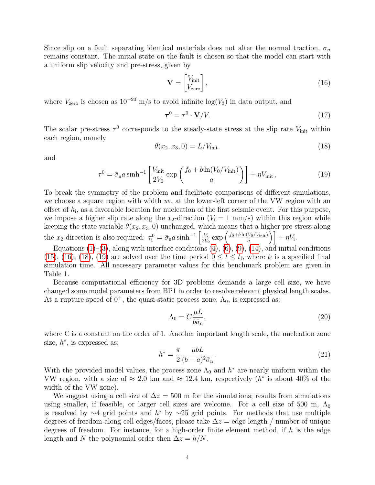Since slip on a fault separating identical materials does not alter the normal traction,  $\sigma_n$ remains constant. The initial state on the fault is chosen so that the model can start with a uniform slip velocity and pre-stress, given by

<span id="page-3-0"></span>
$$
\mathbf{V} = \begin{bmatrix} V_{\text{init}} \\ V_{\text{zero}} \end{bmatrix},\tag{16}
$$

where  $V_{\text{zero}}$  is chosen as  $10^{-20}$  m/s to avoid infinite log( $V_3$ ) in data output, and

<span id="page-3-2"></span>
$$
\boldsymbol{\tau}^0 = \tau^0 \cdot \mathbf{V}/V. \tag{17}
$$

The scalar pre-stress  $\tau^0$  corresponds to the steady-state stress at the slip rate  $V_{\text{init}}$  within each region, namely

<span id="page-3-1"></span>
$$
\theta(x_2, x_3, 0) = L/V_{\text{init}}.\tag{18}
$$

and

$$
\tau^0 = \bar{\sigma}_{\rm n} a \sinh^{-1} \left[ \frac{V_{\rm init}}{2V_0} \exp\left( \frac{f_0 + b \ln(V_0/V_{\rm init})}{a} \right) \right] + \eta V_{\rm init} \,, \tag{19}
$$

To break the symmetry of the problem and facilitate comparisons of different simulations, we choose a square region with width  $w_i$ , at the lower-left corner of the VW region with an offset of  $h_i$ , as a favorable location for nucleation of the first seismic event. For this purpose, we impose a higher slip rate along the x<sub>2</sub>-direction  $(V_i = 1 \text{ mm/s})$  within this region while keeping the state variable  $\theta(x_2, x_3, 0)$  unchanged, which means that a higher pre-stress along the  $x_2$ -direction is also required:  $\tau_i^0 = \bar{\sigma}_{\rm n} a \sinh^{-1} \left[ \frac{V_i}{2V_i} \right]$  $\frac{V_1}{2V_0}$  exp  $\left(\frac{f_0+b\ln(V_0/V_{\text{init}})}{a}\right)$  $\left[\frac{V_0/V_{\rm init}}{a}\right)\right]+\eta V_{\rm i}.$ 

Equations  $(1)$ – $(3)$ , along with interface conditions  $(4)$ ,  $(6)$ ,  $(9)$ ,  $(14)$ , and initial conditions [\(15\)](#page-2-2), [\(16\)](#page-3-0), [\(18\)](#page-3-1), [\(19\)](#page-3-2) are solved over the time period  $0 \le t \le t_f$ , where  $t_f$  is a specified final simulation time. All necessary parameter values for this benchmark problem are given in Table 1.

Because computational efficiency for 3D problems demands a large cell size, we have changed some model parameters from BP1 in order to resolve relevant physical length scales. At a rupture speed of  $0^+$ , the quasi-static process zone,  $\Lambda_0$ , is expressed as:

$$
\Lambda_0 = C \frac{\mu L}{b \bar{\sigma}_n},\tag{20}
$$

where C is a constant on the order of 1. Another important length scale, the nucleation zone size,  $h^*$ , is expressed as:

$$
h^* = \frac{\pi}{2} \frac{\mu b L}{(b - a)^2 \bar{\sigma}_{\mathbf{n}}}.\tag{21}
$$

With the provided model values, the process zone  $\Lambda_0$  and  $h^*$  are nearly uniform within the VW region, with a size of  $\approx 2.0$  km and  $\approx 12.4$  km, respectively  $(h^*$  is about 40% of the width of the VW zone).

We suggest using a cell size of  $\Delta z = 500$  m for the simulations; results from simulations using smaller, if feasible, or larger cell sizes are welcome. For a cell size of 500 m,  $\Lambda_0$ is resolved by  $\sim$ 4 grid points and  $h^*$  by  $\sim$ 25 grid points. For methods that use multiple degrees of freedom along cell edges/faces, please take  $\Delta z =$  edge length / number of unique degrees of freedom. For instance, for a high-order finite element method, if  $h$  is the edge length and N the polynomial order then  $\Delta z = h/N$ .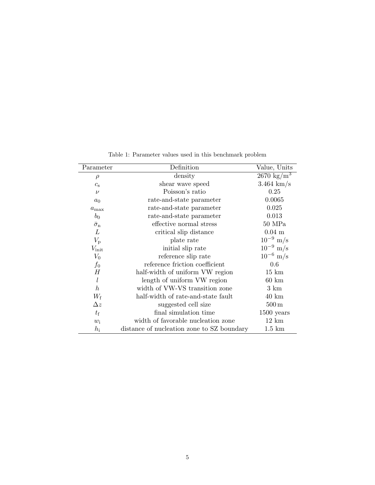| Parameter              | Definition                                 | Value, Units          |
|------------------------|--------------------------------------------|-----------------------|
| $\rho$                 | density                                    | $2670 \text{ kg/m}^3$ |
| $c_{\rm s}$            | shear wave speed                           | $3.464 \text{ km/s}$  |
| $\nu$                  | Poisson's ratio                            | 0.25                  |
| a <sub>0</sub>         | rate-and-state parameter                   | 0.0065                |
| $a_{\text{max}}$       | rate-and-state parameter                   | 0.025                 |
| $b_0$                  | rate-and-state parameter                   | 0.013                 |
| $\bar{\sigma}_{\rm n}$ | effective normal stress                    | $50$ MPa              |
| L                      | critical slip distance                     | $0.04$ m              |
| $V_{\rm p}$            | plate rate                                 | $10^{-9}$ m/s         |
| $V_{\rm init}$         | initial slip rate                          | $10^{-9}$ m/s         |
| $V_0$                  | reference slip rate                        | $10^{-6}$ m/s         |
| $f_0$                  | reference friction coefficient             | 0.6                   |
| Н                      | half-width of uniform VW region            | $15 \; \mathrm{km}$   |
| l                      | length of uniform VW region                | $60 \text{ km}$       |
| $\boldsymbol{h}$       | width of VW-VS transition zone             | $3 \text{ km}$        |
| $W_{\rm f}$            | half-width of rate-and-state fault         | $40 \text{ km}$       |
| $\Delta z$             | suggested cell size                        | $500\,\mathrm{m}$     |
| $t_{\rm f}$            | final simulation time                      | $1500$ years          |
| $w_i$                  | width of favorable nucleation zone         | $12 \text{ km}$       |
| $h_{\rm i}$            | distance of nucleation zone to SZ boundary | $1.5 \mathrm{km}$     |

Table 1: Parameter values used in this benchmark problem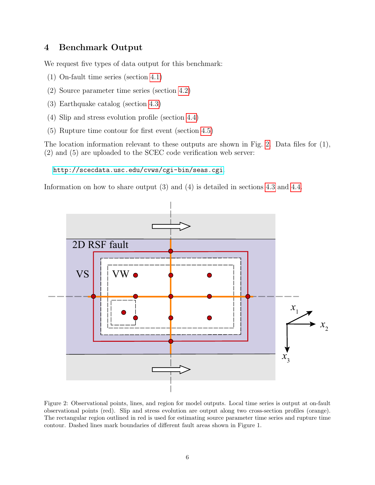### 4 Benchmark Output

We request five types of data output for this benchmark:

- (1) On-fault time series (section [4.1\)](#page-6-0)
- (2) Source parameter time series (section [4.2\)](#page-8-0)
- (3) Earthquake catalog (section [4.3\)](#page-9-0)
- (4) Slip and stress evolution profile (section [4.4\)](#page-11-0)
- (5) Rupture time contour for first event (section [4.5\)](#page-13-0)

The location information relevant to these outputs are shown in Fig. [2.](#page-5-0) Data files for (1), (2) and (5) are uploaded to the SCEC code verification web server:

<http://scecdata.usc.edu/cvws/cgi-bin/seas.cgi>.

Information on how to share output (3) and (4) is detailed in sections [4.3](#page-9-0) and [4.4.](#page-11-0)



<span id="page-5-0"></span>Figure 2: Observational points, lines, and region for model outputs. Local time series is output at on-fault observational points (red). Slip and stress evolution are output along two cross-section profiles (orange). The rectangular region outlined in red is used for estimating source parameter time series and rupture time contour. Dashed lines mark boundaries of different fault areas shown in Figure 1.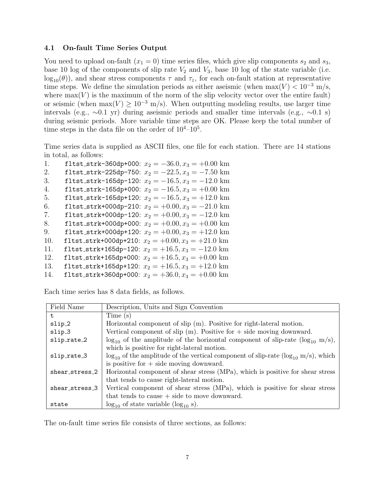#### <span id="page-6-0"></span>4.1 On-fault Time Series Output

You need to upload on-fault  $(x_1 = 0)$  time series files, which give slip components  $s_2$  and  $s_3$ , base 10 log of the components of slip rate  $V_2$  and  $V_3$ , base 10 log of the state variable (i.e.  $log_{10}(\theta)$ , and shear stress components  $\tau$  and  $\tau_z$ , for each on-fault station at representative time steps. We define the simulation periods as either aseismic (when  $\max(V) < 10^{-3}$  m/s, where  $max(V)$  is the maximum of the norm of the slip velocity vector over the entire fault) or seismic (when  $\max(V) \ge 10^{-3}$  m/s). When outputting modeling results, use larger time intervals (e.g., ∼0.1 yr) during aseismic periods and smaller time intervals (e.g., ∼0.1 s) during seismic periods. More variable time steps are OK. Please keep the total number of time steps in the data file on the order of  $10^4$ - $10^5$ .

Time series data is supplied as ASCII files, one file for each station. There are 14 stations in total, as follows:

| 1.  | fltst_strk-360dp+000: $x_2 = -36.0, x_3 = +0.00$ km |
|-----|-----------------------------------------------------|
| 2.  | fltst_strk-225dp-750: $x_2 = -22.5, x_3 = -7.50$ km |
| 3.  | fltst_strk-165dp-120: $x_2 = -16.5, x_3 = -12.0$ km |
| 4.  | fltst_strk-165dp+000: $x_2 = -16.5, x_3 = +0.00$ km |
| 5.  | fltst_strk-165dp+120: $x_2 = -16.5, x_3 = +12.0$ km |
| 6.  | fltst_strk+000dp-210: $x_2 = +0.00, x_3 = -21.0$ km |
| 7.  | fltst_strk+000dp-120: $x_2 = +0.00, x_3 = -12.0$ km |
| 8.  | fltst_strk+000dp+000: $x_2 = +0.00, x_3 = +0.00$ km |
| 9.  | fltst_strk+000dp+120: $x_2 = +0.00, x_3 = +12.0$ km |
| 10. | fltst_strk+000dp+210: $x_2 = +0.00, x_3 = +21.0$ km |
| 11. | fltst_strk+165dp-120: $x_2 = +16.5, x_3 = -12.0$ km |
| 12. | fltst_strk+165dp+000: $x_2 = +16.5, x_3 = +0.00$ km |
| 13. | fltst_strk+165dp+120: $x_2 = +16.5, x_3 = +12.0$ km |
| 14. | fltst_strk+360dp+000: $x_2 = +36.0, x_3 = +0.00$ km |

Each time series has 8 data fields, as follows.

| Field Name         | Description, Units and Sign Convention                                                      |
|--------------------|---------------------------------------------------------------------------------------------|
| t                  | Time(s)                                                                                     |
| slip <sub>-2</sub> | Horizontal component of slip (m). Positive for right-lateral motion.                        |
| slip_3             | Vertical component of slip $(m)$ . Positive for $+$ side moving downward.                   |
| slip_rate_2        | $\log_{10}$ of the amplitude of the horizontal component of slip-rate ( $\log_{10}$ m/s),   |
|                    | which is positive for right-lateral motion.                                                 |
| slip_rate_3        | $log_{10}$ of the amplitude of the vertical component of slip-rate ( $log_{10}$ m/s), which |
|                    | is positive for $+$ side moving downward.                                                   |
| shear_stress_2     | Horizontal component of shear stress (MPa), which is positive for shear stress              |
|                    | that tends to cause right-lateral motion.                                                   |
| shear_stress_3     | Vertical component of shear stress (MPa), which is positive for shear stress                |
|                    | that tends to cause $+$ side to move downward.                                              |
| state              | $\log_{10}$ of state variable ( $\log_{10}$ s).                                             |

The on-fault time series file consists of three sections, as follows: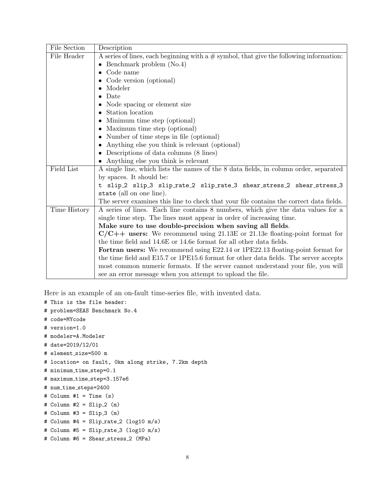| File Section | Description                                                                               |
|--------------|-------------------------------------------------------------------------------------------|
| File Header  | A series of lines, each beginning with a $#$ symbol, that give the following information: |
|              | Benchmark problem (No.4)                                                                  |
|              | Code name                                                                                 |
|              | Code version (optional)                                                                   |
|              | Modeler                                                                                   |
|              | Date                                                                                      |
|              | Node spacing or element size                                                              |
|              | Station location                                                                          |
|              | Minimum time step (optional)<br>٠                                                         |
|              | Maximum time step (optional)                                                              |
|              | Number of time steps in file (optional)<br>٠                                              |
|              | Anything else you think is relevant (optional)                                            |
|              | Descriptions of data columns (8 lines)                                                    |
|              | Anything else you think is relevant                                                       |
| Field List   | A single line, which lists the names of the 8 data fields, in column order, separated     |
|              | by spaces. It should be:                                                                  |
|              | t slip_2 slip_3 slip_rate_2 slip_rate_3 shear_stress_2 shear_stress_3                     |
|              | state (all on one line).                                                                  |
|              | The server examines this line to check that your file contains the correct data fields.   |
| Time History | A series of lines. Each line contains 8 numbers, which give the data values for a         |
|              | single time step. The lines must appear in order of increasing time.                      |
|              | Make sure to use double-precision when saving all fields.                                 |
|              | $C/C++$ users: We recommend using 21.13E or 21.13e floating-point format for              |
|              | the time field and 14.6E or 14.6e format for all other data fields.                       |
|              | Fortran users: We recommend using E22.14 or 1PE22.13 floating-point format for            |
|              | the time field and E15.7 or 1PE15.6 format for other data fields. The server accepts      |
|              | most common numeric formats. If the server cannot understand your file, you will          |
|              | see an error message when you attempt to upload the file.                                 |

Here is an example of an on-fault time-series file, with invented data.

```
# This is the file header:
```

```
# problem=SEAS Benchmark No.4
```
- # code=MYcode
- # version=1.0

```
# modeler=A.Modeler
```
# date=2019/12/01

```
# element_size=500 m
```

```
# location= on fault, 0km along strike, 7.2km depth
```

```
# minimum_time_step=0.1
```

```
# maximum_time_step=3.157e6
```
# num\_time\_steps=2400

```
# Column #1 = Time (s)
```
 $#$  Column  $#2 =$  Slip<sub>-2</sub> (m)

```
# Column #3 = Slip<sub>-3</sub> (m)
```

```
# Column #4 = Slip_rate_2 (log10 m/s)
```

```
# Column #5 = Slip_rate_3 (log10 m/s)
```

```
# Column #6 = Shear_stress_2 (MPa)
```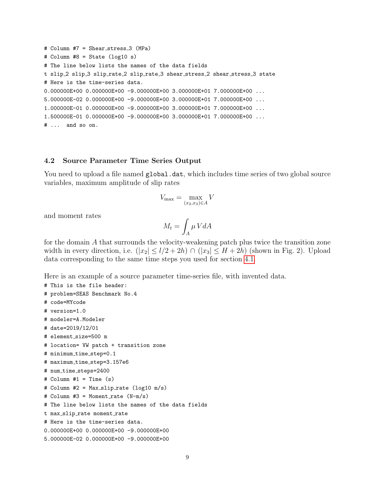```
# Column #7 = Shear_stress_3 (MPa)
# Column #8 = State (log10 s)
# The line below lists the names of the data fields
t slip 2 slip 3 slip rate 2 slip rate 3 shear stress 2 shear stress 3 state
# Here is the time-series data.
0.000000E+00 0.000000E+00 -9.000000E+00 3.000000E+01 7.000000E+00 ...
5.000000E-02 0.000000E+00 -9.000000E+00 3.000000E+01 7.000000E+00 ...
1.000000E-01 0.000000E+00 -9.000000E+00 3.000000E+01 7.000000E+00 ...
1.500000E-01 0.000000E+00 -9.000000E+00 3.000000E+01 7.000000E+00 ...
# ... and so on.
```
#### <span id="page-8-0"></span>4.2 Source Parameter Time Series Output

You need to upload a file named global.dat, which includes time series of two global source variables, maximum amplitude of slip rates

$$
V_{\max} = \max_{(x_2, x_3) \in A} V
$$

and moment rates

$$
M_t = \int_A \mu V dA
$$

for the domain A that surrounds the velocity-weakening patch plus twice the transition zone width in every direction, i.e.  $(|x_2| \leq l/2 + 2h) \cap (|x_3| \leq H + 2h)$  (shown in Fig. 2). Upload data corresponding to the same time steps you used for section [4.1.](#page-6-0)

Here is an example of a source parameter time-series file, with invented data.

```
# This is the file header:
# problem=SEAS Benchmark No.4
# code=MYcode
# version=1.0
# modeler=A.Modeler
# date=2019/12/01
# element_size=500 m
# location= VW patch + transition zone
# minimum time step=0.1
# maximum_time_step=3.157e6
# num_time_steps=2400
# Column #1 = Time (s)# Column #2 = Max_slip_rate (log10 m/s)# Column #3 = Moment_rate (N-m/s)# The line below lists the names of the data fields
t max_slip_rate moment_rate
# Here is the time-series data.
0.000000E+00 0.000000E+00 -9.000000E+00
5.000000E-02 0.000000E+00 -9.000000E+00
```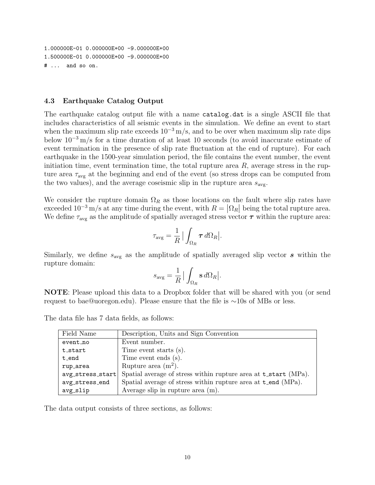1.000000E-01 0.000000E+00 -9.000000E+00 1.500000E-01 0.000000E+00 -9.000000E+00 # ... and so on.

#### <span id="page-9-0"></span>4.3 Earthquake Catalog Output

The earthquake catalog output file with a name catalog.dat is a single ASCII file that includes characteristics of all seismic events in the simulation. We define an event to start when the maximum slip rate exceeds  $10^{-3}$  m/s, and to be over when maximum slip rate dips below 10<sup>−</sup><sup>3</sup> m/s for a time duration of at least 10 seconds (to avoid inaccurate estimate of event termination in the presence of slip rate fluctuation at the end of rupture). For each earthquake in the 1500-year simulation period, the file contains the event number, the event initiation time, event termination time, the total rupture area  $R$ , average stress in the rupture area  $\tau_{\text{avg}}$  at the beginning and end of the event (so stress drops can be computed from the two values), and the average coseismic slip in the rupture area  $s_{\text{avg}}$ .

We consider the rupture domain  $\Omega_R$  as those locations on the fault where slip rates have exceeded  $10^{-3}$  m/s at any time during the event, with  $R = |\Omega_R|$  being the total rupture area. We define  $\tau_{\text{avg}}$  as the amplitude of spatially averaged stress vector  $\tau$  within the rupture area:

$$
\tau_{\text{avg}} = \frac{1}{R} \Big| \int_{\Omega_R} \boldsymbol{\tau} \, d\Omega_R \Big|.
$$

Similarly, we define  $s_{\text{avg}}$  as the amplitude of spatially averaged slip vector  $s$  within the rupture domain:

$$
s_{\text{avg}} = \frac{1}{R} | \int_{\Omega_R} \mathbf{s} \, d\Omega_R |.
$$

NOTE: Please upload this data to a Dropbox folder that will be shared with you (or send request to bae@uoregon.edu). Please ensure that the file is ∼10s of MBs or less.

The data file has 7 data fields, as follows:

| Field Name           | Description, Units and Sign Convention                                 |
|----------------------|------------------------------------------------------------------------|
| event_no             | Event number.                                                          |
| t_start              | Time event starts (s).                                                 |
| t_end                | Time event ends (s).                                                   |
| rup_area             | Rupture area $(m^2)$ .                                                 |
| $avg\_stress\_start$ | Spatial average of stress within rupture area at <b>t_start</b> (MPa). |
| avg_stress_end       | Spatial average of stress within rupture area at t_end (MPa).          |
| avg_slip             | Average slip in rupture area $(m)$ .                                   |

The data output consists of three sections, as follows: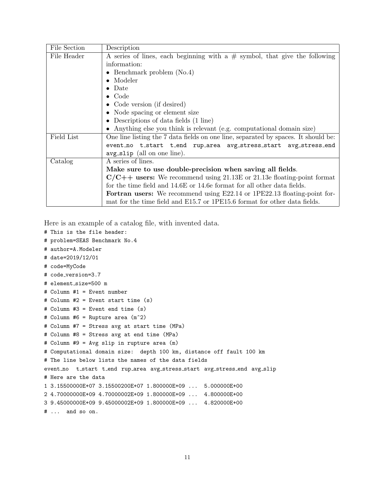| File Section | Description                                                                        |
|--------------|------------------------------------------------------------------------------------|
| File Header  | A series of lines, each beginning with a $#$ symbol, that give the following       |
|              | information:                                                                       |
|              | • Benchmark problem $(No.4)$                                                       |
|              | Modeler                                                                            |
|              | $\bullet$ Date                                                                     |
|              | $\bullet$ Code                                                                     |
|              | • Code version (if desired)                                                        |
|              | • Node spacing or element size                                                     |
|              | • Descriptions of data fields $(1 \text{ line})$                                   |
|              | • Anything else you think is relevant (e.g. computational domain size)             |
| Field List   | One line listing the 7 data fields on one line, separated by spaces. It should be: |
|              | event_no t_start t_end rup_area avg_stress_start avg_stress_end                    |
|              | avg_slip (all on one line).                                                        |
| Catalog      | A series of lines.                                                                 |
|              | Make sure to use double-precision when saving all fields.                          |
|              | $C/C++$ users: We recommend using 21.13E or 21.13e floating-point format           |
|              | for the time field and 14.6E or 14.6e format for all other data fields.            |
|              | <b>Fortran users:</b> We recommend using E22.14 or 1PE22.13 floating-point for-    |
|              | mat for the time field and E15.7 or 1PE15.6 format for other data fields.          |

Here is an example of a catalog file, with invented data.

- # This is the file header:
- # problem=SEAS Benchmark No.4
- # author=A.Modeler
- # date=2019/12/01
- # code=MyCode
- # code version=3.7
- # element\_size=500 m

```
# Column #1 = Event number
```

```
# Column #2 = Event start time (s)
```

```
# Column #3 = Event end time (s)
```

```
# Column #6 = Rupture area (m^2)
```

```
# Column #7 = Stress avg at start time (MPa)
```
# Column #8 = Stress avg at end time (MPa)

```
# Column #9 = Avg slip in rupture area (m)
```
# Computational domain size: depth 100 km, distance off fault 100 km

```
# The line below lists the names of the data fields
```

```
event no t start t end rup area avg stress start avg stress end avg slip
```

```
# Here are the data
```

```
1 3.15500000E+07 3.15500200E+07 1.800000E+09 ... 5.000000E+00
```

```
2 4.70000000E+09 4.70000002E+09 1.800000E+09 ... 4.800000E+00
```

```
3 9.45000000E+09 9.45000002E+09 1.800000E+09 ... 4.820000E+00
```

```
# ... and so on.
```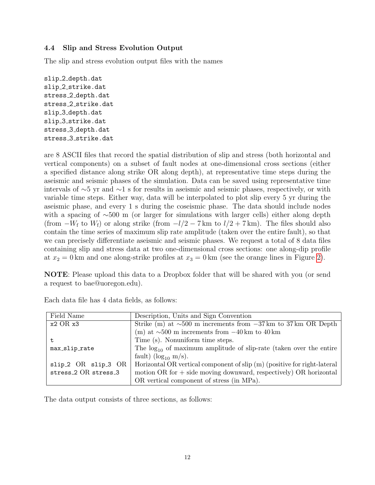### <span id="page-11-0"></span>4.4 Slip and Stress Evolution Output

The slip and stress evolution output files with the names

slip 2 depth.dat slip 2 strike.dat stress 2 depth.dat stress 2 strike.dat slip 3 depth.dat slip 3 strike.dat stress 3 depth.dat stress 3 strike.dat

are 8 ASCII files that record the spatial distribution of slip and stress (both horizontal and vertical components) on a subset of fault nodes at one-dimensional cross sections (either a specified distance along strike OR along depth), at representative time steps during the aseismic and seismic phases of the simulation. Data can be saved using representative time intervals of ∼5 yr and ∼1 s for results in aseismic and seismic phases, respectively, or with variable time steps. Either way, data will be interpolated to plot slip every 5 yr during the aseismic phase, and every 1 s during the coseismic phase. The data should include nodes with a spacing of ∼500 m (or larger for simulations with larger cells) either along depth (from  $-W_f$  to  $W_f$ ) or along strike (from  $-l/2-7$  km to  $l/2+7$  km). The files should also contain the time series of maximum slip rate amplitude (taken over the entire fault), so that we can precisely differentiate aseismic and seismic phases. We request a total of 8 data files containing slip and stress data at two one-dimensional cross sections: one along-dip profile at  $x_2 = 0$  km and one along-strike profiles at  $x_3 = 0$  km (see the orange lines in Figure [2\)](#page-5-0).

NOTE: Please upload this data to a Dropbox folder that will be shared with you (or send a request to bae@uoregon.edu).

| Field Name                                   | Description, Units and Sign Convention                                        |
|----------------------------------------------|-------------------------------------------------------------------------------|
| $x2 \tOR x3$                                 | Strike (m) at $\sim 500$ m increments from $-37 \text{ km}$ to 37 km OR Depth |
|                                              | (m) at $\sim$ 500 m increments from $-40 \text{ km}$ to $40 \text{ km}$       |
|                                              | Time (s). Nonuniform time steps.                                              |
| max_slip_rate                                | The $log_{10}$ of maximum amplitude of slip-rate (taken over the entire       |
|                                              | fault) ( $\log_{10}$ m/s).                                                    |
| slip_2 OR slip_3 OR                          | Horizontal OR vertical component of slip (m) (positive for right-lateral      |
| stress <sub>-2</sub> OR stress <sub>-3</sub> | motion $OR$ for $+$ side moving downward, respectively) $OR$ horizontal       |
|                                              | OR vertical component of stress (in MPa).                                     |

Each data file has 4 data fields, as follows:

The data output consists of three sections, as follows: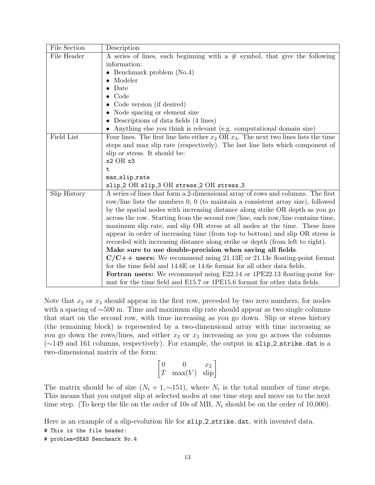| File Section | Description                                                                                |
|--------------|--------------------------------------------------------------------------------------------|
| File Header  | A series of lines, each beginning with a $#$ symbol, that give the following               |
|              | information:                                                                               |
|              | • Benchmark problem $(No.4)$                                                               |
|              | Modeler                                                                                    |
|              | Date                                                                                       |
|              | Code                                                                                       |
|              | Code version (if desired)                                                                  |
|              | Node spacing or element size                                                               |
|              | • Descriptions of data fields $(4 \text{ lines})$                                          |
|              | Anything else you think is relevant (e.g. computational domain size)                       |
| Field List   | Four lines. The first line lists either $x_2$ OR $x_3$ . The next two lines lists the time |
|              | steps and max slip rate (respectively). The last line lists which component of             |
|              | slip or stress. It should be:                                                              |
|              | $x2 \tOR x3$                                                                               |
|              | t.                                                                                         |
|              | max_slip_rate                                                                              |
|              | slip_2 OR slip_3 OR stress_2 OR stress_3                                                   |
| Slip History | A series of lines that form a 2-dimensional array of rows and columns. The first           |
|              | row/line lists the numbers $0, 0$ (to maintain a consistent array size), followed          |
|              | by the spatial nodes with increasing distance along strike OR depth as you go              |
|              | across the row. Starting from the second row/line, each row/line contains time,            |
|              | maximum slip rate, and slip OR stress at all nodes at the time. These lines                |
|              | appear in order of increasing time (from top to bottom) and slip OR stress is              |
|              | recorded with increasing distance along strike or depth (from left to right).              |
|              | Make sure to use double-precision when saving all fields.                                  |
|              | $C/C++$ users: We recommend using 21.13E or 21.13e floating-point format                   |
|              | for the time field and 14.6E or 14.6e format for all other data fields.                    |
|              | Fortran users: We recommend using E22.14 or 1PE22.13 floating-point for-                   |
|              | mat for the time field and E15.7 or 1PE15.6 format for other data fields.                  |

Note that  $x_2$  or  $x_3$  should appear in the first row, preceded by two zero numbers, for nodes with a spacing of ∼500 m. Time and maximum slip rate should appear as two single columns that start on the second row, with time increasing as you go down. Slip or stress history (the remaining block) is represented by a two-dimensional array with time increasing as you go down the rows/lines, and either  $x_2$  or  $x_3$  increasing as you go across the columns (∼149 and 161 columns, respectively). For example, the output in slip 2 strike.dat is a two-dimensional matrix of the form:

$$
\begin{bmatrix} 0 & 0 & x_2 \ T & \max(V) & \text{slip} \end{bmatrix}
$$

The matrix should be of size  $(N_t + 1, \sim 151)$ , where  $N_t$  is the total number of time steps. This means that you output slip at selected nodes at one time step and move on to the next time step. (To keep the file on the order of 10s of MB,  $N_t$  should be on the order of 10,000).

Here is an example of a slip-evolution file for slip<sub>-2</sub> strike.dat, with invented data.

- # This is the file header:
- # problem=SEAS Benchmark No.4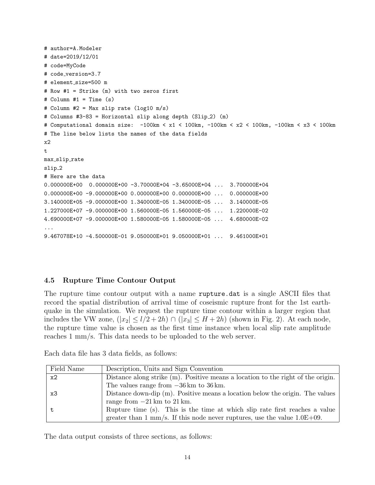```
# author=A.Modeler
# date=2019/12/01
# code=MyCode
# code version=3.7
# element_size=500 m
# Row #1 = Strike (m) with two zeros first
# Column #1 = Time (s)
# Column #2 = Max slip rate (log10 m/s)
# Columns #3-83 = Horizontal slip along depth (Slip_2) (m)
# Computational domain size: -100km < x1 < 100km, -100km < x2 < 100km, -100km < x3 < 100km
# The line below lists the names of the data fields
x2
t
max_slip_rate
slip<sub>-2</sub>
# Here are the data
0.000000E+00 0.000000E+00 -3.70000E+04 -3.65000E+04 ... 3.700000E+04
0.000000E+00 -9.000000E+00 0.000000E+00 0.000000E+00 ... 0.000000E+00
3.140000E+05 -9.000000E+00 1.340000E-05 1.340000E-05 ... 3.140000E-05
1.227000E+07 -9.000000E+00 1.560000E-05 1.560000E-05 ... 1.220000E-02
4.690000E+07 -9.000000E+00 1.580000E-05 1.580000E-05 ... 4.680000E-02
...
9.467078E+10 -4.500000E-01 9.050000E+01 9.050000E+01 ... 9.461000E+01
```
#### <span id="page-13-0"></span>4.5 Rupture Time Contour Output

The rupture time contour output with a name rupture.dat is a single ASCII files that record the spatial distribution of arrival time of coseismic rupture front for the 1st earthquake in the simulation. We request the rupture time contour within a larger region that includes the VW zone,  $(|x_2| \leq l/2 + 2h) \cap (|x_3| \leq H + 2h)$  (shown in Fig. 2). At each node, the rupture time value is chosen as the first time instance when local slip rate amplitude reaches 1 mm/s. This data needs to be uploaded to the web server.

| Field Name | Description, Units and Sign Convention                                           |
|------------|----------------------------------------------------------------------------------|
| x2         | Distance along strike (m). Positive means a location to the right of the origin. |
|            | The values range from $-36 \text{ km}$ to $36 \text{ km}$ .                      |
| x3         | Distance down-dip (m). Positive means a location below the origin. The values    |
|            | range from $-21 \text{ km}$ to $21 \text{ km}$ .                                 |
|            | Rupture time (s). This is the time at which slip rate first reaches a value      |
|            | greater than 1 mm/s. If this node never ruptures, use the value $1.0E+09$ .      |

Each data file has 3 data fields, as follows:

The data output consists of three sections, as follows: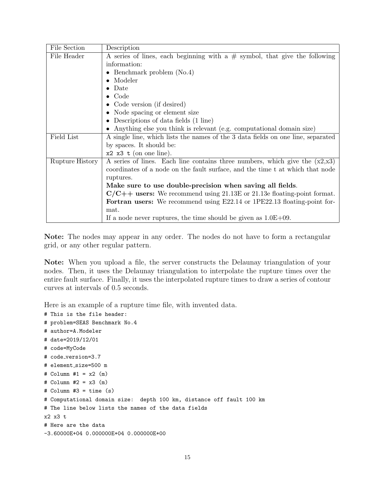| File Section    | Description                                                                      |  |
|-----------------|----------------------------------------------------------------------------------|--|
| File Header     | A series of lines, each beginning with a $#$ symbol, that give the following     |  |
|                 | information:                                                                     |  |
|                 | • Benchmark problem $(No.4)$                                                     |  |
|                 | Modeler                                                                          |  |
|                 | Date                                                                             |  |
|                 | $\bullet$ Code                                                                   |  |
|                 | • Code version (if desired)                                                      |  |
|                 | • Node spacing or element size                                                   |  |
|                 | • Descriptions of data fields $(1 \text{ line})$                                 |  |
|                 | • Anything else you think is relevant (e.g. computational domain size)           |  |
| Field List      | A single line, which lists the names of the 3 data fields on one line, separated |  |
|                 | by spaces. It should be:                                                         |  |
|                 | $x2 \times 3$ t (on one line).                                                   |  |
| Rupture History | A series of lines. Each line contains three numbers, which give the $(x2,x3)$    |  |
|                 | coordinates of a node on the fault surface, and the time t at which that node    |  |
|                 | ruptures.                                                                        |  |
|                 | Make sure to use double-precision when saving all fields.                        |  |
|                 | $C/C++$ users: We recommend using 21.13E or 21.13e floating-point format.        |  |
|                 | <b>Fortran users:</b> We recommend using E22.14 or 1PE22.13 floating-point for-  |  |
|                 | mat.                                                                             |  |
|                 | If a node never ruptures, the time should be given as $1.0E+09$ .                |  |

Note: The nodes may appear in any order. The nodes do not have to form a rectangular grid, or any other regular pattern.

Note: When you upload a file, the server constructs the Delaunay triangulation of your nodes. Then, it uses the Delaunay triangulation to interpolate the rupture times over the entire fault surface. Finally, it uses the interpolated rupture times to draw a series of contour curves at intervals of 0.5 seconds.

Here is an example of a rupture time file, with invented data.

```
# This is the file header:
# problem=SEAS Benchmark No.4
# author=A.Modeler
# date=2019/12/01
# code=MyCode
# code version=3.7
# element_size=500 m
# Column #1 = x2 (m)
# Column #2 = x3 (m)
# Column #3 = time(s)# Computational domain size: depth 100 km, distance off fault 100 km
# The line below lists the names of the data fields
x2 x3 t
# Here are the data
-3.60000E+04 0.000000E+04 0.000000E+00
```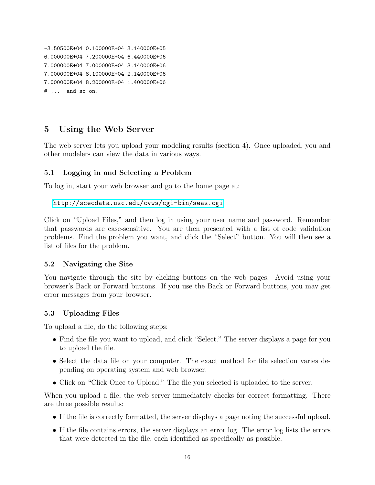```
-3.50500E+04 0.100000E+04 3.140000E+05
6.000000E+04 7.200000E+04 6.440000E+06
7.000000E+04 7.000000E+04 3.140000E+06
7.000000E+04 8.100000E+04 2.140000E+06
7.000000E+04 8.200000E+04 1.400000E+06
# ... and so on.
```
## 5 Using the Web Server

The web server lets you upload your modeling results (section 4). Once uploaded, you and other modelers can view the data in various ways.

#### 5.1 Logging in and Selecting a Problem

To log in, start your web browser and go to the home page at:

```
http://scecdata.usc.edu/cvws/cgi-bin/seas.cgi
```
Click on "Upload Files," and then log in using your user name and password. Remember that passwords are case-sensitive. You are then presented with a list of code validation problems. Find the problem you want, and click the "Select" button. You will then see a list of files for the problem.

#### 5.2 Navigating the Site

You navigate through the site by clicking buttons on the web pages. Avoid using your browser's Back or Forward buttons. If you use the Back or Forward buttons, you may get error messages from your browser.

#### 5.3 Uploading Files

To upload a file, do the following steps:

- Find the file you want to upload, and click "Select." The server displays a page for you to upload the file.
- Select the data file on your computer. The exact method for file selection varies depending on operating system and web browser.
- Click on "Click Once to Upload." The file you selected is uploaded to the server.

When you upload a file, the web server immediately checks for correct formatting. There are three possible results:

- If the file is correctly formatted, the server displays a page noting the successful upload.
- If the file contains errors, the server displays an error log. The error log lists the errors that were detected in the file, each identified as specifically as possible.